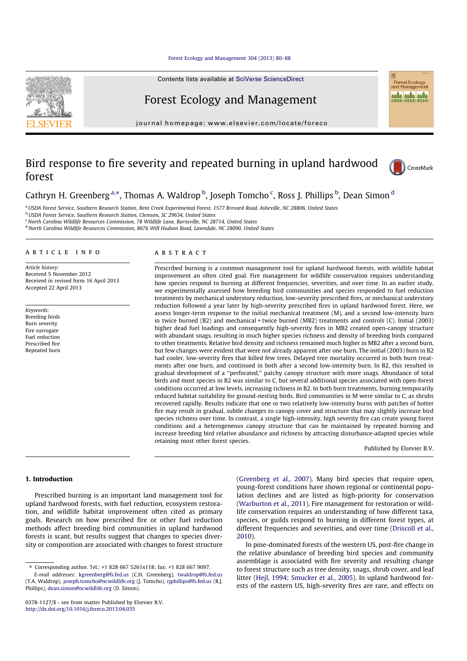Forest Ecology and Management 304 (2013) 80–88

Contents lists available at SciVerse ScienceDirect

# Forest Ecology and Management

journal homepage: www.elsevier.com/locate/foreco

# Bird response to fire severity and repeated burning in upland hardwood forest



**Example**<br>**Forest Ecology**<br>and Management MA MA MA

# Cathryn H. Greenberg<sup>a,\*</sup>, Thomas A. Waldrop <sup>b</sup>, Joseph Tomcho <sup>c</sup>, Ross J. Phillips <sup>b</sup>, Dean Simon <sup>d</sup>

a USDA Forest Service, Southern Research Station, Bent Creek Experimental Forest, 1577 Brevard Road, Asheville, NC 28806, United States

b<br>
UISDA Forest Service, Southern Research Station, Clemson, SC 29634, United States

<sup>c</sup> North Carolina Wildlife Resources Commission, 78 Wildlife Lane, Burnsville, NC 28714, United States

<sup>d</sup> North Carolina Wildlife Resources Commission, 8676 Will Hudson Road, Lawndale, NC 28090, United States

# article info

Article history: Received 5 November 2012 Received in revised form 16 April 2013 Accepted 22 April 2013

Keywords: Breeding birds Burn severity Fire surrogate Fuel reduction Prescribed fire Repeated burn

# A B S T R A C T

Prescribed burning is a common management tool for upland hardwood forests, with wildlife habitat improvement an often cited goal. Fire management for wildlife conservation requires understanding how species respond to burning at different frequencies, severities, and over time. In an earlier study, we experimentally assessed how breeding bird communities and species responded to fuel reduction treatments by mechanical understory reduction, low-severity prescribed fires, or mechanical understory reduction followed a year later by high-severity prescribed fires in upland hardwood forest. Here, we assess longer-term response to the initial mechanical treatment (M), and a second low-intensity burn in twice burned (B2) and mechanical + twice burned (MB2) treatments and controls (C). Initial (2003) higher dead fuel loadings and consequently high-severity fires in MB2 created open-canopy structure with abundant snags, resulting in much higher species richness and density of breeding birds compared to other treatments. Relative bird density and richness remained much higher in MB2 after a second burn, but few changes were evident that were not already apparent after one burn. The initial (2003) burn in B2 had cooler, low-severity fires that killed few trees. Delayed tree mortality occurred in both burn treatments after one burn, and continued in both after a second low-intensity burn. In B2, this resulted in gradual development of a ''perforated,'' patchy canopy structure with more snags. Abundance of total birds and most species in B2 was similar to C, but several additional species associated with open-forest conditions occurred at low levels, increasing richness in B2. In both burn treatments, burning temporarily reduced habitat suitability for ground-nesting birds. Bird communities in M were similar to C, as shrubs recovered rapidly. Results indicate that one or two relatively low-intensity burns with patches of hotter fire may result in gradual, subtle changes to canopy cover and structure that may slightly increase bird species richness over time. In contrast, a single high-intensity, high severity fire can create young forest conditions and a heterogeneous canopy structure that can be maintained by repeated burning and increase breeding bird relative abundance and richness by attracting disturbance-adapted species while retaining most other forest species.

Published by Elsevier B.V.

# 1. Introduction

Prescribed burning is an important land management tool for upland hardwood forests, with fuel reduction, ecosystem restoration, and wildlife habitat improvement often cited as primary goals. Research on how prescribed fire or other fuel reduction methods affect breeding bird communities in upland hardwood forests is scant, but results suggest that changes to species diversity or composition are associated with changes to forest structure (Greenberg et al., 2007). Many bird species that require open, young-forest conditions have shown regional or continental population declines and are listed as high-priority for conservation (Warburton et al., 2011). Fire management for restoration or wildlife conservation requires an understanding of how different taxa, species, or guilds respond to burning in different forest types, at different frequencies and severities, and over time (Driscoll et al., 2010).

In pine-dominated forests of the western US, post-fire change in the relative abundance of breeding bird species and community assemblage is associated with fire severity and resulting change to forest structure such as tree density, snags, shrub cover, and leaf litter (Heil, 1994; Smucker et al., 2005). In upland hardwood forests of the eastern US, high-severity fires are rare, and effects on



<sup>⇑</sup> Corresponding author. Tel.: +1 828 667 5261x118; fax: +1 828 667 9097.

E-mail addresses: kgreenberg@fs.fed.us (C.H. Greenberg), twaldrop@fs.fed.us (T.A. Waldrop), joseph.tomcho@ncwildlife.org (J. Tomcho), rjphillips@fs.fed.us (R.J. Phillips), dean.simon@ncwildlife.org (D. Simon).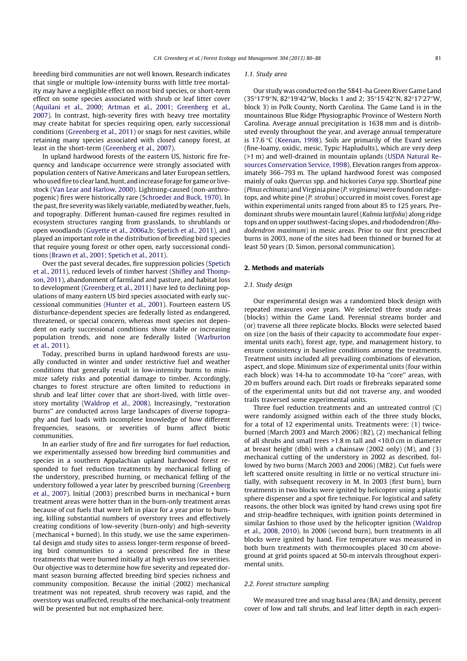breeding bird communities are not well known. Research indicates that single or multiple low-intensity burns with little tree mortality may have a negligible effect on most bird species, or short-term effect on some species associated with shrub or leaf litter cover (Aquilani et al., 2000; Artman et al., 2001; Greenberg et al., 2007). In contrast, high-severity fires with heavy tree mortality may create habitat for species requiring open, early successional conditions (Greenberg et al., 2011) or snags for nest cavities, while retaining many species associated with closed canopy forest, at least in the short-term (Greenberg et al., 2007).

In upland hardwood forests of the eastern US, historic fire frequency and landscape occurrence were strongly associated with population centers of Native Americans and later European settlers, who used fire to clear land, hunt, and increase forage for game or livestock (Van Lear and Harlow, 2000). Lightning-caused (non-anthropogenic) fires were historically rare (Schroeder and Buck, 1970). In the past, fire severity was likely variable, mediated by weather, fuels, and topography. Different human-caused fire regimes resulted in ecosystem structures ranging from grasslands, to shrublands or open woodlands (Guyette et al., 2006a,b; Spetich et al., 2011), and played an important role in the distribution of breeding bird species that require young forest or other open, early successional conditions (Brawn et al., 2001; Spetich et al., 2011).

Over the past several decades, fire suppression policies (Spetich et al., 2011), reduced levels of timber harvest (Shifley and Thompson, 2011), abandonment of farmland and pasture, and habitat loss to development (Greenberg et al., 2011) have led to declining populations of many eastern US bird species associated with early successional communities (Hunter et al., 2001). Fourteen eastern US disturbance-dependent species are federally listed as endangered, threatened, or special concern, whereas most species not dependent on early successional conditions show stable or increasing population trends, and none are federally listed (Warburton et al., 2011).

Today, prescribed burns in upland hardwood forests are usually conducted in winter and under restrictive fuel and weather conditions that generally result in low-intensity burns to minimize safety risks and potential damage to timber. Accordingly, changes to forest structure are often limited to reductions in shrub and leaf litter cover that are short-lived, with little overstory mortality (Waldrop et al., 2008). Increasingly, ''restoration burns'' are conducted across large landscapes of diverse topography and fuel loads with incomplete knowledge of how different frequencies, seasons, or severities of burns affect biotic communities.

In an earlier study of fire and fire surrogates for fuel reduction, we experimentally assessed how breeding bird communities and species in a southern Appalachian upland hardwood forest responded to fuel reduction treatments by mechanical felling of the understory, prescribed burning, or mechanical felling of the understory followed a year later by prescribed burning (Greenberg et al., 2007). Initial (2003) prescribed burns in mechanical + burn treatment areas were hotter than in the burn-only treatment areas because of cut fuels that were left in place for a year prior to burning, killing substantial numbers of overstory trees and effectively creating conditions of low-severity (burn-only) and high-severity (mechanical + burned). In this study, we use the same experimental design and study sites to assess longer-term response of breeding bird communities to a second prescribed fire in these treatments that were burned initially at high versus low severities. Our objective was to determine how fire severity and repeated dormant season burning affected breeding bird species richness and community composition. Because the initial (2002) mechanical treatment was not repeated, shrub recovery was rapid, and the overstory was unaffected, results of the mechanical-only treatment will be presented but not emphasized here.

#### 1.1. Study area

Our study was conducted on the 5841-ha Green River Game Land (35°17'9″N, 82°19'42″W, blocks 1 and 2; 35°15'42″N, 82°17'27″W, block 3) in Polk County, North Carolina. The Game Land is in the mountainous Blue Ridge Physiographic Province of Western North Carolina. Average annual precipitation is 1638 mm and is distributed evenly throughout the year, and average annual temperature is 17.6 °C (Keenan, 1998). Soils are primarily of the Evard series (fine-loamy, oxidic, mesic, Typic Hapludults), which are very deep (>1 m) and well-drained in mountain uplands (USDA Natural Resources Conservation Service, 1998). Elevation ranges from approximately 366–793 m. The upland hardwood forest was composed mainly of oaks Quercus spp. and hickories Carya spp. Shortleaf pine (Pinus echinata) and Virginia pine (P. virginiana) were found on ridgetops, and white pine (P. strobus) occurred in moist coves. Forest age within experimental units ranged from about 85 to 125 years. Predominant shrubs were mountain laurel (Kalmia latifolia) along ridge tops and on upper southwest-facing slopes, and rhododendron (Rhododendron maximum) in mesic areas. Prior to our first prescribed burns in 2003, none of the sites had been thinned or burned for at least 50 years (D. Simon, personal communication).

# 2. Methods and materials

### 2.1. Study design

Our experimental design was a randomized block design with repeated measures over years. We selected three study areas (blocks) within the Game Land. Perennial streams border and (or) traverse all three replicate blocks. Blocks were selected based on size (on the basis of their capacity to accommodate four experimental units each), forest age, type, and management history, to ensure consistency in baseline conditions among the treatments. Treatment units included all prevailing combinations of elevation, aspect, and slope. Minimum size of experimental units (four within each block) was 14-ha to accommodate 10-ha ''core'' areas, with 20 m buffers around each. Dirt roads or firebreaks separated some of the experimental units but did not traverse any, and wooded trails traversed some experimental units.

Three fuel reduction treatments and an untreated control (C) were randomly assigned within each of the three study blocks, for a total of 12 experimental units. Treatments were: (1) twiceburned (March 2003 and March 2006) (B2), (2) mechanical felling of all shrubs and small trees >1.8 m tall and <10.0 cm in diameter at breast height (dbh) with a chainsaw (2002 only) (M), and (3) mechanical cutting of the understory in 2002 as described, followed by two burns (March 2003 and 2006) (MB2). Cut fuels were left scattered onsite resulting in little or no vertical structure initially, with subsequent recovery in M. In 2003 (first burn), burn treatments in two blocks were ignited by helicopter using a plastic sphere dispenser and a spot fire technique. For logistical and safety reasons, the other block was ignited by hand crews using spot fire and strip-headfire techniques, with ignition points determined in similar fashion to those used by the helicopter ignition (Waldrop et al., 2008, 2010). In 2006 (second burn), burn treatments in all blocks were ignited by hand. Fire temperature was measured in both burn treatments with thermocouples placed 30 cm aboveground at grid points spaced at 50-m intervals throughout experimental units.

# 2.2. Forest structure sampling

We measured tree and snag basal area (BA) and density, percent cover of low and tall shrubs, and leaf litter depth in each experi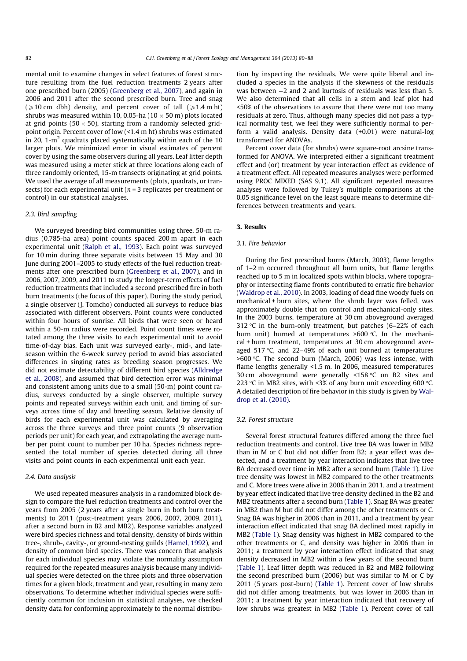mental unit to examine changes in select features of forest structure resulting from the fuel reduction treatments 2 years after one prescribed burn (2005) (Greenberg et al., 2007), and again in 2006 and 2011 after the second prescribed burn. Tree and snag  $\geq 10$  cm dbh) density, and percent cover of tall  $\geq 1.4$  m ht) shrubs was measured within 10, 0.05-ha (10  $\times$  50 m) plots located at grid points (50  $\times$  50), starting from a randomly selected gridpoint origin. Percent cover of low (<1.4 m ht) shrubs was estimated in 20, 1- $m<sup>2</sup>$  quadrats placed systematically within each of the 10 larger plots. We minimized error in visual estimates of percent cover by using the same observers during all years. Leaf litter depth was measured using a meter stick at three locations along each of three randomly oriented, 15-m transects originating at grid points. We used the average of all measurements (plots, quadrats, or transects) for each experimental unit ( $n = 3$  replicates per treatment or control) in our statistical analyses.

# 2.3. Bird sampling

We surveyed breeding bird communities using three, 50-m radius (0.785-ha area) point counts spaced 200 m apart in each experimental unit (Ralph et al., 1993). Each point was surveyed for 10 min during three separate visits between 15 May and 30 June during 2001–2005 to study effects of the fuel reduction treatments after one prescribed burn (Greenberg et al., 2007), and in 2006, 2007, 2009, and 2011 to study the longer-term effects of fuel reduction treatments that included a second prescribed fire in both burn treatments (the focus of this paper). During the study period, a single observer (J. Tomcho) conducted all surveys to reduce bias associated with different observers. Point counts were conducted within four hours of sunrise. All birds that were seen or heard within a 50-m radius were recorded. Point count times were rotated among the three visits to each experimental unit to avoid time-of-day bias. Each unit was surveyed early-, mid-, and lateseason within the 6-week survey period to avoid bias associated differences in singing rates as breeding season progresses. We did not estimate detectability of different bird species (Alldredge et al., 2008), and assumed that bird detection error was minimal and consistent among units due to a small (50-m) point count radius, surveys conducted by a single observer, multiple survey points and repeated surveys within each unit, and timing of surveys across time of day and breeding season. Relative density of birds for each experimental unit was calculated by averaging across the three surveys and three point counts (9 observation periods per unit) for each year, and extrapolating the average number per point count to number per 10 ha. Species richness represented the total number of species detected during all three visits and point counts in each experimental unit each year.

#### 2.4. Data analysis

We used repeated measures analysis in a randomized block design to compare the fuel reduction treatments and control over the years from 2005 (2 years after a single burn in both burn treatments) to 2011 (post-treatment years 2006, 2007, 2009, 2011), after a second burn in B2 and MB2). Response variables analyzed were bird species richness and total density, density of birds within tree-, shrub-, cavity-, or ground-nesting guilds (Hamel, 1992), and density of common bird species. There was concern that analysis for each individual species may violate the normality assumption required for the repeated measures analysis because many individual species were detected on the three plots and three observation times for a given block, treatment and year, resulting in many zero observations. To determine whether individual species were sufficiently common for inclusion in statistical analyses, we checked density data for conforming approximately to the normal distribution by inspecting the residuals. We were quite liberal and included a species in the analysis if the skewness of the residuals was between  $-2$  and 2 and kurtosis of residuals was less than 5. We also determined that all cells in a stem and leaf plot had <50% of the observations to assure that there were not too many residuals at zero. Thus, although many species did not pass a typical normality test, we feel they were sufficiently normal to perform a valid analysis. Density data (+0.01) were natural-log transformed for ANOVAs.

Percent cover data (for shrubs) were square-root arcsine transformed for ANOVA. We interpreted either a significant treatment effect and (or) treatment by year interaction effect as evidence of a treatment effect. All repeated measures analyses were performed using PROC MIXED (SAS 9.1). All significant repeated measures analyses were followed by Tukey's multiple comparisons at the 0.05 significance level on the least square means to determine differences between treatments and years.

# 3. Results

#### 3.1. Fire behavior

During the first prescribed burns (March, 2003), flame lengths of 1–2 m occurred throughout all burn units, but flame lengths reached up to 5 m in localized spots within blocks, where topography or intersecting flame fronts contributed to erratic fire behavior (Waldrop et al., 2010). In 2003, loading of dead fine woody fuels on mechanical + burn sites, where the shrub layer was felled, was approximately double that on control and mechanical-only sites. In the 2003 burns, temperature at 30 cm aboveground averaged 312 °C in the burn-only treatment, but patches (6–22% of each burn unit) burned at temperatures  $>600$  °C. In the mechanical + burn treatment, temperatures at 30 cm aboveground averaged  $517$  °C, and  $22-49\%$  of each unit burned at temperatures  $>600$  °C. The second burn (March, 2006) was less intense, with flame lengths generally <1.5 m. In 2006, measured temperatures 30 cm aboveground were generally  $\leq$ 158 °C on B2 sites and 223 °C in MB2 sites, with <3% of any burn unit exceeding 600 °C. A detailed description of fire behavior in this study is given by Waldrop et al. (2010).

#### 3.2. Forest structure

Several forest structural features differed among the three fuel reduction treatments and control. Live tree BA was lower in MB2 than in M or C but did not differ from B2; a year effect was detected, and a treatment by year interaction indicates that live tree BA decreased over time in MB2 after a second burn (Table 1). Live tree density was lowest in MB2 compared to the other treatments and C. More trees were alive in 2006 than in 2011, and a treatment by year effect indicated that live tree density declined in the B2 and MB2 treatments after a second burn (Table 1). Snag BA was greater in MB2 than M but did not differ among the other treatments or C. Snag BA was higher in 2006 than in 2011, and a treatment by year interaction effect indicated that snag BA declined most rapidly in MB2 (Table 1). Snag density was highest in MB2 compared to the other treatments or C, and density was higher in 2006 than in 2011; a treatment by year interaction effect indicated that snag density decreased in MB2 within a few years of the second burn (Table 1). Leaf litter depth was reduced in B2 and MB2 following the second prescribed burn (2006) but was similar to M or C by 2011 (5 years post-burn) (Table 1). Percent cover of low shrubs did not differ among treatments, but was lower in 2006 than in 2011; a treatment by year interaction indicated that recovery of low shrubs was greatest in MB2 (Table 1). Percent cover of tall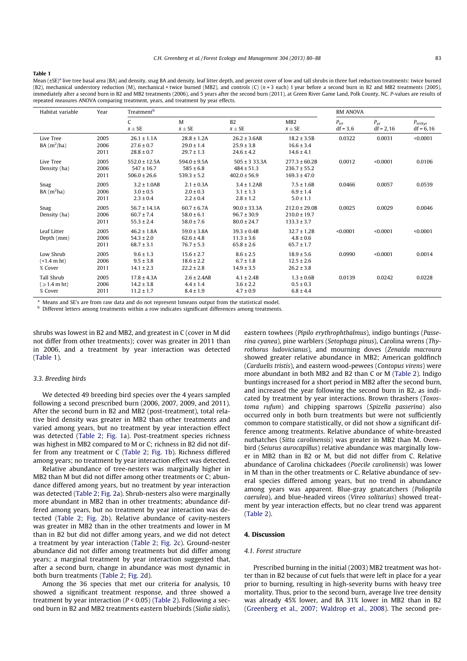#### Table 1

Mean (±SE)<sup>a</sup> live tree basal area (BA) and density, snag BA and density, leaf litter depth, and percent cover of low and tall shrubs in three fuel reduction treatments: twice burned (B2), mechanical understory reduction (M), mechanical + twice burned (MB2), and controls (C) (n = 3 each) 1 year before a second burn in B2 and MB2 treatments (2005), immediately after a second burn in B2 and MB2 treatments (2006), and 5 years after the second burn (2011), at Green River Game Land, Polk County, NC. P-values are results of repeated measures ANOVA comparing treatment, years, and treatment by year effects.

| Habitat variable                             | Year                 | Treatment <sup>b</sup>                                  |                                                      |                                                         | <b>RM ANOVA</b>                                           |                             |                             |                                    |
|----------------------------------------------|----------------------|---------------------------------------------------------|------------------------------------------------------|---------------------------------------------------------|-----------------------------------------------------------|-----------------------------|-----------------------------|------------------------------------|
|                                              |                      | C<br>$\bar{x} \pm SE$                                   | M<br>$\bar{x} \pm SE$                                | B2<br>$\bar{x} \pm SE$                                  | MB <sub>2</sub><br>$\bar{x} \pm SE$                       | $P_{\rm trt}$<br>$df = 3,6$ | $P_{\rm vr}$<br>$df = 2,16$ | $P_{\text{trtxyr}}$<br>$df = 6,16$ |
| Live Tree<br>$BA(m^2/ha)$                    | 2005<br>2006<br>2011 | $26.1 \pm 1.1A$<br>$27.6 \pm 0.7$<br>$28.8 \pm 0.7$     | $28.8 \pm 1.2A$<br>$29.0 \pm 1.4$<br>$29.7 \pm 1.3$  | $26.2 \pm 3.6AB$<br>$25.9 \pm 3.8$<br>$24.6 \pm 4.2$    | $18.2 \pm 3.5B$<br>$16.6 \pm 3.4$<br>$14.6 \pm 4.1$       | 0.0322                      | 0.0031                      | < 0.0001                           |
| Live Tree<br>Density (ha)                    | 2005<br>2006<br>2011 | $552.0 \pm 12.5A$<br>$547 \pm 16.7$<br>$506.0 \pm 26.6$ | $594.0 \pm 9.5A$<br>$585 \pm 6.8$<br>$539.3 \pm 5.2$ | $505 \pm 333.3A$<br>$484 \pm 51.3$<br>$402.0 \pm 56.9$  | $277.3 \pm 60.2B$<br>$236.7 \pm 55.2$<br>$169.3 \pm 47.0$ | 0.0012                      | < 0.0001                    | 0.0106                             |
| Snag<br>$BA(m^2ha)$                          | 2005<br>2006<br>2011 | $3.2 \pm 1.0AB$<br>$3.0 \pm 0.5$<br>$2.3 \pm 0.4$       | $2.1 \pm 0.3A$<br>$2.0 \pm 0.3$<br>$2.2 \pm 0.4$     | $3.4 \pm 1.2AB$<br>$3.1 \pm 1.3$<br>$2.8 \pm 1.2$       | $7.5 \pm 1.6B$<br>$6.9 \pm 1.4$<br>$5.0 \pm 1.1$          | 0.0466                      | 0.0057                      | 0.0539                             |
| Snag<br>Density (ha)                         | 2005<br>2006<br>2011 | $56.7 \pm 14.1A$<br>$60.7 \pm 7.4$<br>$55.3 \pm 2.4$    | $60.7 \pm 6.7$ A<br>$58.0 \pm 6.1$<br>$58.0 \pm 7.6$ | $90.0 \pm 33.3$ A<br>$96.7 \pm 30.9$<br>$80.0 \pm 24.7$ | $212.0 \pm 29.0B$<br>$210.0 \pm 19.7$<br>$133.3 \pm 3.7$  | 0.0025                      | 0.0029                      | 0.0046                             |
| Leaf Litter<br>Depth (mm)                    | 2005<br>2006<br>2011 | $46.2 \pm 1.8$ A<br>$54.3 \pm 2.0$<br>$68.7 \pm 3.1$    | $59.0 \pm 3.8$ A<br>$62.6 \pm 4.8$<br>$76.7 \pm 5.3$ | $39.3 \pm 0.4B$<br>$11.3 \pm 3.6$<br>$65.8 \pm 2.6$     | $32.7 \pm 1.2B$<br>$4.8 \pm 0.6$<br>$65.7 \pm 1.7$        | < 0.0001                    | < 0.0001                    | < 0.0001                           |
| Low Shrub<br>(<1.4 m ht)<br>% Cover          | 2005<br>2006<br>2011 | $9.6 \pm 1.3$<br>$9.5 \pm 3.8$<br>$14.1 \pm 2.3$        | $15.6 \pm 2.7$<br>$18.6 \pm 2.2$<br>$22.2 \pm 2.8$   | $8.6 \pm 2.5$<br>$6.7 \pm 1.8$<br>$14.9 \pm 3.5$        | $18.9 \pm 5.6$<br>$12.5 \pm 2.6$<br>$26.2 \pm 3.8$        | 0.0990                      | < 0.0001                    | 0.0014                             |
| Tall Shrub<br>$\approx 1.4$ m ht)<br>% Cover | 2005<br>2006<br>2011 | $17.8 \pm 4.3A$<br>$14.2 \pm 3.8$<br>$11.2 \pm 1.7$     | $2.6 \pm 2.4AB$<br>$4.4 \pm 1.4$<br>$8.4 \pm 1.9$    | $4.1 \pm 2.4B$<br>$3.6 \pm 2.2$<br>$4.7 \pm 0.9$        | $1.3 \pm 0.6B$<br>$0.5 \pm 0.3$<br>$6.8 \pm 4.4$          | 0.0139                      | 0.0242                      | 0.0228                             |

<sup>a</sup> Means and SE's are from raw data and do not represent Ismeans output from the statistical model.

**b** Different letters among treatments within a row indicates significant differences among treatments.

shrubs was lowest in B2 and MB2, and greatest in C (cover in M did not differ from other treatments); cover was greater in 2011 than in 2006, and a treatment by year interaction was detected (Table 1).

#### 3.3. Breeding birds

We detected 49 breeding bird species over the 4 years sampled following a second prescribed burn (2006, 2007, 2009, and 2011). After the second burn in B2 and MB2 (post-treatment), total relative bird density was greater in MB2 than other treatments and varied among years, but no treatment by year interaction effect was detected (Table 2; Fig. 1a). Post-treatment species richness was highest in MB2 compared to M or C; richness in B2 did not differ from any treatment or C (Table 2; Fig. 1b). Richness differed among years; no treatment by year interaction effect was detected.

Relative abundance of tree-nesters was marginally higher in MB2 than M but did not differ among other treatments or C; abundance differed among years, but no treatment by year interaction was detected (Table 2; Fig. 2a). Shrub-nesters also were marginally more abundant in MB2 than in other treatments; abundance differed among years, but no treatment by year interaction was detected (Table 2; Fig. 2b). Relative abundance of cavity-nesters was greater in MB2 than in the other treatments and lower in M than in B2 but did not differ among years, and we did not detect a treatment by year interaction (Table 2; Fig. 2c). Ground-nester abundance did not differ among treatments but did differ among years; a marginal treatment by year interaction suggested that, after a second burn, change in abundance was most dynamic in both burn treatments (Table 2; Fig. 2d).

Among the 36 species that met our criteria for analysis, 10 showed a significant treatment response, and three showed a treatment by year interaction ( $P < 0.05$ ) (Table 2). Following a second burn in B2 and MB2 treatments eastern bluebirds (Sialia sialis),

eastern towhees (Pipilo erythrophthalmus), indigo buntings (Passerina cyanea), pine warblers (Setophaga pinus), Carolina wrens (Thyrothorus ludovicianus), and mourning doves (Zenaida macroura showed greater relative abundance in MB2; American goldfinch (Carduelis tristis), and eastern wood-pewees (Contopus virens) were more abundant in both MB2 and B2 than C or M (Table 2). Indigo buntings increased for a short period in MB2 after the second burn, and increased the year following the second burn in B2, as indicated by treatment by year interactions. Brown thrashers (Toxostoma rufum) and chipping sparrows (Spizella passerina) also occurred only in both burn treatments but were not sufficiently common to compare statistically, or did not show a significant difference among treatments. Relative abundance of white-breasted nuthatches (Sitta carolinensis) was greater in MB2 than M. Ovenbird (Seiurus aurocapillus) relative abundance was marginally lower in MB2 than in B2 or M, but did not differ from C. Relative abundance of Carolina chickadees (Poecile carolinensis) was lower in M than in the other treatments or C. Relative abundance of several species differed among years, but no trend in abundance among years was apparent. Blue-gray gnatcatchers (Polioptila caerulea), and blue-headed vireos (Vireo solitarius) showed treatment by year interaction effects, but no clear trend was apparent (Table 2).

#### 4. Discussion

# 4.1. Forest structure

Prescribed burning in the initial (2003) MB2 treatment was hotter than in B2 because of cut fuels that were left in place for a year prior to burning, resulting in high-severity burns with heavy tree mortality. Thus, prior to the second burn, average live tree density was already 45% lower, and BA 31% lower in MB2 than in B2 (Greenberg et al., 2007; Waldrop et al., 2008). The second pre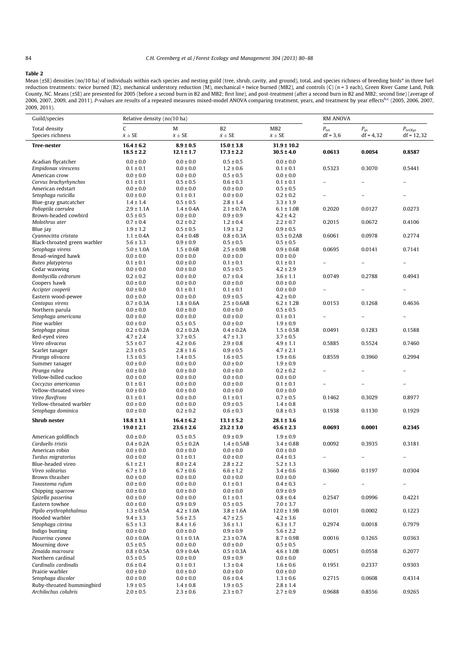$\overline{a}$ 

# 84 C.H. Greenberg et al. / Forest Ecology and Management 304 (2013) 80–88

# Table 2

Mean (±SE) densities (no/10 ha) of individuals within each species and nesting guild (tree, shrub, cavity, and ground), total, and species richness of breeding birds<sup>a</sup> in three fuel reduction treatments: twice burned (B2), mechanical understory reduction (M), mechanical + twice burned (MB2), and controls (C)  $(n=3 \text{ each})$ , Green River Game Land, Polk County, NC. Means (±SE) are presented for 2005 (before a second burn in B2 and MB2; first line), and post-treatment (after a second burn in B2 and MB2; second line) (average of correspe<br>2006, 2007, 2009, and 2011). P-value 2009, 2011).

| Guild/species                                        | Relative density (no/10 ha)      |                                  |                                   |                                     | <b>RM ANOVA</b>             |                             |                                     |  |
|------------------------------------------------------|----------------------------------|----------------------------------|-----------------------------------|-------------------------------------|-----------------------------|-----------------------------|-------------------------------------|--|
| Total density<br>Species richness                    | C<br>$\bar{x} \pm SE$            | M<br>$\bar{x} \pm SE$            | B <sub>2</sub><br>$\bar{x}\pm SE$ | MB <sub>2</sub><br>$\bar{x} \pm SE$ | $P_{\rm trt}$<br>$df = 3,6$ | $P_{\rm yr}$<br>$df = 4,32$ | $P_{\text{trtXvr}}$<br>$df = 12,32$ |  |
| <b>Tree-nester</b>                                   | $16.4 \pm 6.2$                   | $8.9 \pm 0.5$                    | $15.0 \pm 3.8$                    | $31.9 \pm 10.2$                     |                             |                             |                                     |  |
|                                                      | $18.5 \pm 2.2$                   | $12.1 \pm 1.7$                   | $17.3 \pm 2.2$                    | $30.5 \pm 4.0$                      | 0.0613                      | 0.0054                      | 0.8587                              |  |
| Acadian flycatcher                                   | $0.0 \pm 0.0$                    | $0.0 \pm 0.0$                    | $0.5 \pm 0.5$                     | $0.0 \pm 0.0$                       |                             |                             |                                     |  |
| Empidonax virescens                                  | $0.1 \pm 0.1$                    | $0.0 \pm 0.0$                    | $1.2 \pm 0.6$                     | $0.1 \pm 0.1$                       | 0.5323                      | 0.3070                      | 0.5441                              |  |
| American crow                                        | $0.0 \pm 0.0$                    | $0.0 \pm 0.0$                    | $0.5 \pm 0.5$                     | $0.0 \pm 0.0$                       |                             |                             |                                     |  |
| Corvus brachyrhynchos                                | $0.1 \pm 0.1$                    | $0.5 \pm 0.5$                    | $0.6 \pm 0.3$                     | $0.1 \pm 0.1$                       |                             | -                           | $\overline{\phantom{0}}$            |  |
| American redstart<br>Setophaga ruticilla             | $0.0 \pm 0.0$<br>$0.0 \pm 0.0$   | $0.0 \pm 0.0$<br>$0.1 \pm 0.1$   | $0.0 \pm 0.0$<br>$0.0 \pm 0.0$    | $0.5 \pm 0.5$<br>$0.2 \pm 0.2$      |                             |                             | $\overline{\phantom{0}}$            |  |
| Blue-gray gnatcatcher                                | $1.4 \pm 1.4$                    | $0.5 \pm 0.5$                    | $2.8 \pm 1.4$                     | $3.3 \pm 1.9$                       |                             |                             |                                     |  |
| Polioptila caerulea                                  | $2.9 \pm 1.1$ A                  | $1.4 \pm 0.4A$                   | $2.1 \pm 0.7A$                    | $6.1 \pm 1.0B$                      | 0.2020                      | 0.0127                      | 0.0273                              |  |
| Brown-headed cowbird                                 | $0.5 \pm 0.5$                    | $0.0 \pm 0.0$                    | $0.9 \pm 0.9$                     | $4.2 \pm 4.2$                       |                             |                             |                                     |  |
| Molothrus ater                                       | $0.7 \pm 0.4$                    | $0.2 \pm 0.2$                    | $1.2 \pm 0.4$                     | $2.2 \pm 0.7$                       | 0.2015                      | 0.0672                      | 0.4106                              |  |
| Blue jay                                             | $1.9 \pm 1.2$                    | $0.5 \pm 0.5$                    | $1.9 \pm 1.2$                     | $0.9 \pm 0.5$                       |                             |                             |                                     |  |
| Cyannocitta cristata<br>Black-throated green warbler | $1.1 \pm 0.4A$<br>$5.6 \pm 3.3$  | $0.4 \pm 0.4B$<br>$0.9 \pm 0.9$  | $0.8 \pm 0.3$ A<br>$0.5 \pm 0.5$  | $0.5 \pm 0.2AB$<br>$0.5 \pm 0.5$    | 0.6061                      | 0.0978                      | 0.2774                              |  |
| Setophaga virens                                     | $5.0 \pm 1.0$ A                  | $1.5 \pm 0.6B$                   | $2.5 \pm 0.9B$                    | $0.9 \pm 0.6B$                      | 0.0695                      | 0.0141                      | 0.7141                              |  |
| Broad-winged hawk                                    | $0.0 \pm 0.0$                    | $0.0 \pm 0.0$                    | $0.0 \pm 0.0$                     | $0.0 \pm 0.0$                       |                             |                             |                                     |  |
| Buteo platypterus                                    | $0.1 \pm 0.1$                    | $0.0 \pm 0.0$                    | $0.1 \pm 0.1$                     | $0.1 \pm 0.1$                       |                             |                             |                                     |  |
| Cedar waxwing                                        | $0.0 \pm 0.0$                    | $0.0 \pm 0.0$                    | $0.5 \pm 0.5$                     | $4.2 \pm 2.9$                       |                             |                             |                                     |  |
| Bombycilla cedrorum                                  | $0.2 \pm 0.2$                    | $0.0 \pm 0.0$                    | $0.7 \pm 0.4$                     | $3.6 \pm 1.1$                       | 0.0749                      | 0.2788                      | 0.4943                              |  |
| Coopers hawk<br>Accipter cooperii                    | $0.0 \pm 0.0$<br>$0.0 \pm 0.0$   | $0.0 \pm 0.0$<br>$0.1 \pm 0.1$   | $0.0 \pm 0.0$<br>$0.1 \pm 0.1$    | $0.0 \pm 0.0$<br>$0.0 \pm 0.0$      |                             |                             |                                     |  |
| Eastern wood-pewee                                   | $0.0 \pm 0.0$                    | $0.0 \pm 0.0$                    | $0.9 \pm 0.5$                     | $4.2 \pm 0.0$                       |                             |                             |                                     |  |
| Contopus virens                                      | $0.7 \pm 0.3$ A                  | $1.8 \pm 0.6$ A                  | $2.5 \pm 0.6AB$                   | $6.2 \pm 1.2B$                      | 0.0153                      | 0.1268                      | 0.4636                              |  |
| Northern parula                                      | $0.0 \pm 0.0$                    | $0.0 \pm 0.0$                    | $0.0 \pm 0.0$                     | $0.5 \pm 0.5$                       |                             |                             |                                     |  |
| Setophaga americana                                  | $0.0 \pm 0.0$                    | $0.0 \pm 0.0$                    | $0.0 \pm 0.0$                     | $0.1 \pm 0.1$                       | $\equiv$                    |                             | $\overline{\phantom{0}}$            |  |
| Pine warbler                                         | $0.0 \pm 0.0$                    | $0.5 \pm 0.5$                    | $0.0 \pm 0.0$                     | $1.9 \pm 0.9$                       |                             |                             |                                     |  |
| Setophaga pinus                                      | $0.2 \pm 0.2A$                   | $0.2 \pm 0.2A$                   | $0.4 \pm 0.2A$                    | $1.5 \pm 0.5B$                      | 0.0491                      | 0.1283                      | 0.1588                              |  |
| Red-eyed vireo<br>Vireo olivaceus                    | $4.7 \pm 2.4$<br>$5.5 \pm 0.7$   | $3.7 \pm 0.5$<br>$4.2 \pm 0.6$   | $4.7 \pm 1.3$<br>$2.9 \pm 0.8$    | $3.7 \pm 0.5$<br>$4.9 \pm 1.1$      | 0.5885                      | 0.5524                      | 0.7460                              |  |
| Scarlet tanager                                      | $2.3 \pm 0.5$                    | $2.8 \pm 1.6$                    | $0.9 \pm 0.5$                     | $4.7 \pm 2.1$                       |                             |                             |                                     |  |
| Piranga olivacea                                     | $1.5 \pm 0.5$                    | $1.4 \pm 0.5$                    | $1.6 \pm 0.5$                     | $1.9 \pm 0.6$                       | 0.8559                      | 0.3960                      | 0.2994                              |  |
| Summer tanager                                       | $0.0 \pm 0.0$                    | $0.0 \pm 0.0$                    | $0.0 \pm 0.0$                     | $1.9 \pm 0.9$                       |                             |                             |                                     |  |
| Piranga rubra                                        | $0.0 \pm 0.0$                    | $0.0 \pm 0.0$                    | $0.0 \pm 0.0$                     | $0.2 \pm 0.2$                       |                             | -                           | $\overline{a}$                      |  |
| Yellow-billed cuckoo                                 | $0.0 \pm 0.0$                    | $0.0 \pm 0.0$                    | $0.0 \pm 0.0$                     | $0.0 \pm 0.0$                       |                             |                             |                                     |  |
| Coccyzus americanus<br>Yellow-throated vireo         | $0.1 \pm 0.1$<br>$0.0 \pm 0.0$   | $0.0 \pm 0.0$<br>$0.0 \pm 0.0$   | $0.0 \pm 0.0$<br>$0.0 \pm 0.0$    | $0.1 \pm 0.1$<br>$0.0 \pm 0.0$      | $\qquad \qquad -$           |                             | $\qquad \qquad -$                   |  |
| Vireo flavifrons                                     | $0.1 \pm 0.1$                    | $0.0 \pm 0.0$                    | $0.1 \pm 0.1$                     | $0.7 \pm 0.5$                       | 0.1462                      | 0.3029                      | 0.8977                              |  |
| Yellow-throated warbler                              | $0.0 \pm 0.0$                    | $0.0 \pm 0.0$                    | $0.9 \pm 0.5$                     | $1.4 \pm 0.8$                       |                             |                             |                                     |  |
| Setophaga dominica                                   | $0.0 \pm 0.0$                    | $0.2 \pm 0.2$                    | $0.6 \pm 0.3$                     | $0.8 \pm 0.3$                       | 0.1938                      | 0.1130                      | 0.1929                              |  |
| <b>Shrub</b> nester                                  | $18.8 \pm 3.1$                   | $16.4 \pm 6.2$                   | $13.1 \pm 5.2$                    | $28.1 \pm 3.6$                      |                             |                             |                                     |  |
|                                                      | $19.0 \pm 2.1$                   | $23.6 \pm 2.6$                   | $23.2 \pm 3.0$                    | $45.6 \pm 2.3$                      | 0.0693                      | 0.0001                      | 0.2345                              |  |
| American goldfinch                                   | $0.0 \pm 0.0$                    | $0.5 \pm 0.5$                    | $0.9 \pm 0.9$                     | $1.9 \pm 0.9$                       |                             |                             |                                     |  |
| Carduelis tristis                                    | $0.4 \pm 0.2A$                   | $0.5 \pm 0.2A$                   | $1.4 \pm 0.5AB$                   | $3.4 \pm 0.8B$                      | 0.0092                      | 0.3935                      | 0.3181                              |  |
| American robin                                       | $0.0 \pm 0.0$                    | $0.0 \pm 0.0$                    | $0.0 \pm 0.0$                     | $0.0 \pm 0.0$                       |                             |                             |                                     |  |
| Turdus migratorius                                   | $0.0 \pm 0.0$                    | $0.1 \pm 0.1$                    | $0.0 \pm 0.0$<br>$2.8 \pm 2.2$    | $0.4 \pm 0.3$<br>$5.2 \pm 1.3$      |                             |                             | $\overline{a}$                      |  |
| Blue-headed vireo<br>Vireo solitarius                | $6.1 \pm 2.1$<br>$6.7 \pm 1.0$   | $8.0 \pm 2.4$<br>$6.7 \pm 0.6$   | $6.6 \pm 1.2$                     | $3.4 \pm 0.6$                       | 0.3660                      | 0.1197                      | 0.0304                              |  |
| Brown thrasher                                       | $0.0 \pm 0.0$                    | $0.0 \pm 0.0$                    | $0.0 \pm 0.0$                     | $0.0 \pm 0.0$                       |                             |                             |                                     |  |
| Toxostoma rufum                                      | $0.0 \pm 0.0$                    | $0.0 \pm 0.0$                    | $0.1 \pm 0.1$                     | $0.4 \pm 0.3$                       | $\overline{\phantom{a}}$    | $\overline{\phantom{0}}$    | $\overline{\phantom{0}}$            |  |
| Chipping sparrow                                     | $0.0 \pm 0.0$                    | $0.0 \pm 0.0$                    | $0.0 \pm 0.0$                     | $0.9 \pm 0.9$                       |                             |                             |                                     |  |
| Spizella passerina                                   | $0.0 \pm 0.0$                    | $0.0 \pm 0.0$                    | $0.1 \pm 0.1$                     | $0.8 \pm 0.4$                       | 0.2547                      | 0.0996                      | 0.4221                              |  |
| Eastern towhee<br>Pipilo erythrophthalmus            | $0.0 \pm 0.0$<br>$1.3 \pm 0.5A$  | $0.9 \pm 0.9$<br>$4.2 \pm 1.0A$  | $0.5 \pm 0.5$<br>$3.8 \pm 1.6$ A  | $7.0 \pm 3.7$<br>$12.0 \pm 1.9B$    | 0.0101                      | 0.0002                      | 0.1223                              |  |
| Hooded warbler                                       | $9.4 \pm 3.3$                    | $5.6 \pm 2.5$                    | $4.7 \pm 2.5$                     | $4.2 \pm 3.6$                       |                             |                             |                                     |  |
| Setophaga citrina                                    | $6.5 \pm 1.3$                    | $8.4 \pm 1.6$                    | $3.6 \pm 1.1$                     | $6.3 \pm 1.7$                       | 0.2974                      | 0.0018                      | 0.7979                              |  |
| Indigo bunting                                       | $0.0 \pm 0.0$                    | $0.0 \pm 0.0$                    | $0.9 \pm 0.9$                     | $5.6 \pm 2.2$                       |                             |                             |                                     |  |
| Passerina cyanea                                     | $0.0 \pm 0.0$ A                  | $0.1 \pm 0.1$ A                  | $2.3 \pm 0.7$ A                   | $8.7 \pm 0.9B$                      | 0.0016                      | 0.1265                      | 0.0363                              |  |
| Mourning dove                                        | $0.5 \pm 0.5$                    | $0.0 \pm 0.0$                    | $0.0 \pm 0.0$                     | $0.5 \pm 0.5$                       |                             |                             |                                     |  |
| Zenaida macroura<br>Northern cardinal                | $0.8 \pm 0.5$ A<br>$0.5 \pm 0.5$ | $0.9 \pm 0.4$ A<br>$0.0 \pm 0.0$ | $0.5 \pm 0.3$ A<br>$0.9 \pm 0.9$  | $4.6 \pm 1.0B$<br>$0.0 \pm 0.0$     | 0.0051                      | 0.0558                      | 0.2077                              |  |
| Cardinalis cardinalis                                | $0.6 \pm 0.4$                    | $0.1 \pm 0.1$                    | $1.3 \pm 0.4$                     | $1.6 \pm 0.6$                       | 0.1951                      | 0.2337                      | 0.9303                              |  |
| Prairie warbler                                      | $0.0 \pm 0.0$                    | $0.0 \pm 0.0$                    | $0.0 \pm 0.0$                     | $0.0 \pm 0.0$                       |                             |                             |                                     |  |
| Setophaga discolor                                   | $0.0 \pm 0.0$                    | $0.0 \pm 0.0$                    | $0.6 \pm 0.4$                     | $1.3 \pm 0.6$                       | 0.2715                      | 0.0608                      | 0.4314                              |  |
| Ruby-throated hummingbird                            | $1.9 \pm 0.5$                    | $1.4 \pm 0.8$                    | $1.9 \pm 0.5$                     | $2.8 \pm 1.4$                       |                             |                             |                                     |  |
| Archilochus colubris                                 | $2.0 \pm 0.5$                    | $2.3 \pm 0.6$                    | $2.3 \pm 0.7$                     | $2.7 \pm 0.9$                       | 0.9688                      | 0.8556                      | 0.9265                              |  |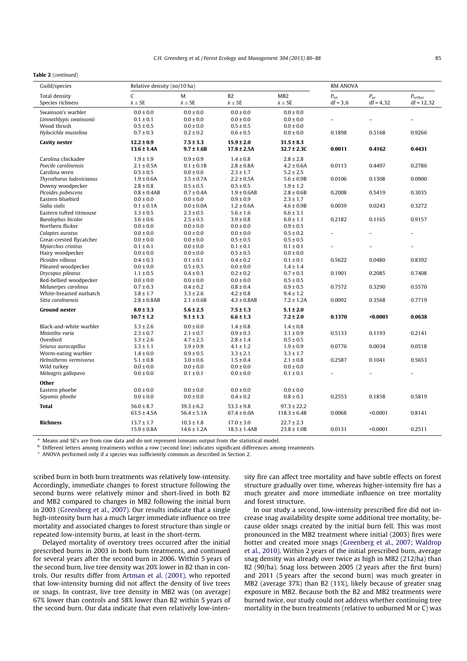# Table 2 (continued)

| Guild/species            | Relative density (no/10 ha) |                  |                  |                  | <b>RM ANOVA</b> |              |                  |
|--------------------------|-----------------------------|------------------|------------------|------------------|-----------------|--------------|------------------|
| Total density            | C                           | M                | B2               | MB <sub>2</sub>  | $P_{\rm trt}$   | $P_{\rm vr}$ | $P_{\rm trtXyr}$ |
| Species richness         | $\bar{x} \pm SE$            | $\bar{x} \pm SE$ | $\bar{x} \pm SE$ | $\bar{x} \pm SE$ | $df = 3,6$      | $df = 4,32$  | $df = 12,32$     |
| Swainson's warbler       | $0.0 \pm 0.0$               | $0.0 \pm 0.0$    | $0.0 \pm 0.0$    | $0.0 \pm 0.0$    |                 |              |                  |
| Limnothlypis swainsonii  | $0.1 \pm 0.1$               | $0.0 \pm 0.0$    | $0.0 \pm 0.0$    | $0.0 \pm 0.0$    |                 |              | $\overline{a}$   |
| Wood thrush              | $0.5 \pm 0.5$               | $0.0 \pm 0.0$    | $0.5 \pm 0.5$    | $0.0 \pm 0.0$    |                 |              |                  |
| Hylocichla mustelina     | $0.7 \pm 0.3$               | $0.2 \pm 0.2$    | $0.6 \pm 0.5$    | $0.0 \pm 0.0$    | 0.1898          | 0.5168       | 0.9266           |
| <b>Cavity nester</b>     | $12.2 \pm 0.9$              | $7.5 \pm 3.3$    | $15.9 \pm 2.0$   | $31.5 \pm 8.3$   |                 |              |                  |
|                          | $13.6 \pm 1.4A$             | $9.7 \pm 1.6B$   | $17.8 \pm 2.5A$  | $32.7 \pm 2.3C$  | 0.0011          | 0.4162       | 0.4431           |
| Carolina chickadee       | $1.9 \pm 1.9$               | $0.9 \pm 0.9$    | $1.4 \pm 0.8$    | $2.8 \pm 2.8$    |                 |              |                  |
| Poecile carolinensis     | $2.1 \pm 0.5A$              | $0.1 \pm 0.1B$   | $2.8 \pm 0.8$ A  | $4.2 \pm 0.6A$   | 0.0113          | 0.4497       | 0.2786           |
| Carolina wren            | $0.5 \pm 0.5$               | $0.0 \pm 0.0$    | $2.3 \pm 1.7$    | $5.2 \pm 2.5$    |                 |              |                  |
| Thyrothorus ludovicianus | $1.9 \pm 0.6A$              | $3.5 \pm 0.7A$   | $2.2 \pm 0.5A$   | $5.6 \pm 0.9B$   | 0.0106          | 0.1308       | 0.0900           |
| Downy woodpecker         | $2.8 \pm 0.8$               | $0.5 \pm 0.5$    | $0.5 \pm 0.5$    | $1.9 \pm 1.2$    |                 |              |                  |
| Picoides pubescens       | $0.8 \pm 0.4AB$             | $0.7 \pm 0.4A$   | $1.9 \pm 0.6AB$  | $2.8 \pm 0.6B$   | 0.2008          | 0.5419       | 0.3035           |
| Eastern bluebird         | $0.0 \pm 0.0$               | $0.0 \pm 0.0$    | $0.9 \pm 0.9$    | $2.3 \pm 1.7$    |                 |              |                  |
| Sialia sialis            | $0.1 \pm 0.1$ A             | $0.0 \pm 0.0$ A  | $1.2 \pm 0.6A$   | $4.6 \pm 0.9B$   | 0.0039          | 0.0243       | 0.3272           |
| Eastern tufted titmouse  | $3.3 \pm 0.5$               | $2.3 \pm 0.5$    | $5.6 \pm 1.6$    | $6.6 \pm 3.1$    |                 |              |                  |
| Baeolophus bicolor       | $3.6 \pm 0.6$               | $2.5 \pm 0.5$    | $3.9 \pm 0.8$    | $6.0 \pm 1.1$    | 0.2182          | 0.1165       | 0.9157           |
| Northern flicker         | $0.0 \pm 0.0$               | $0.0 \pm 0.0$    | $0.0 \pm 0.0$    | $0.9 \pm 0.5$    |                 |              |                  |
| Colaptes auratus         | $0.0 \pm 0.0$               | $0.0 \pm 0.0$    | $0.0 \pm 0.0$    | $0.5 \pm 0.2$    |                 |              |                  |
| Great-crested flycatcher | $0.0 \pm 0.0$               | $0.0 \pm 0.0$    | $0.5 \pm 0.5$    | $0.5 \pm 0.5$    |                 |              |                  |
| Myiarchus crinitus       | $0.1 \pm 0.1$               | $0.0 \pm 0.0$    | $0.1 \pm 0.1$    | $0.1 \pm 0.1$    |                 |              | $\overline{a}$   |
| Hairy woodpecker         | $0.0 \pm 0.0$               | $0.0 \pm 0.0$    | $0.5 \pm 0.5$    | $0.0 \pm 0.0$    |                 |              |                  |
| Picoides villosus        | $0.4 \pm 0.3$               | $0.1 \pm 0.1$    | $0.4 \pm 0.2$    | $0.1 \pm 0.1$    | 0.5622          | 0.0480       | 0.8392           |
| Pileated woodpecker      | $0.0 \pm 0.0$               | $0.5 \pm 0.5$    | $0.0 \pm 0.0$    | $1.4 \pm 1.4$    |                 |              |                  |
| Drycopus pileatus        | $1.1 \pm 0.5$               | $0.4 \pm 0.3$    | $0.2 \pm 0.2$    | $0.7 \pm 0.3$    | 0.1901          | 0.2085       | 0.7408           |
| Red-bellied woodpecker   | $0.0 \pm 0.0$               | $0.0 \pm 0.0$    | $0.0 \pm 0.0$    | $0.5 \pm 0.5$    |                 |              |                  |
| Melanerpes carolinus     | $0.7 \pm 0.3$               | $0.4 \pm 0.2$    | $0.8 \pm 0.4$    | $0.9 \pm 0.5$    | 0.7572          | 0.3290       | 0.5570           |
| White-breasted nuthatch  | $3.8 \pm 1.7$               | $3.3 \pm 2.6$    | $4.2 \pm 0.8$    | $9.4 \pm 1.2$    |                 |              |                  |
| Sitta carolinensis       | $2.8 \pm 0.8AB$             | $2.1 \pm 0.6B$   | $4.3 \pm 0.8AB$  | $7.2 \pm 1.2A$   | 0.0092          | 0.3568       | 0.7719           |
| <b>Ground nester</b>     | $8.0 \pm 3.3$               | $5.6 \pm 2.5$    | $7.5 \pm 1.3$    | $5.1 \pm 2.0$    |                 |              |                  |
|                          | $10.7 \pm 1.2$              | $9.1 \pm 1.3$    | $6.6 \pm 1.3$    | $7.2 \pm 2.0$    | 0.1370          | $0.0001$     | 0.0638           |
| Black-and-white warbler  | $3.3 \pm 2.6$               | $0.0 \pm 0.0$    | $1.4 \pm 0.8$    | $1.4 \pm 0.8$    |                 |              |                  |
| Mniotilta varia          | $2.3 \pm 0.7$               | $2.1 \pm 0.7$    | $0.9 \pm 0.3$    | $3.1 \pm 0.9$    | 0.5133          | 0.1193       | 0.2141           |
| Ovenbird                 | $3.3 \pm 2.6$               | $4.7 \pm 2.5$    | $2.8 \pm 1.4$    | $0.5 \pm 0.5$    |                 |              |                  |
| Seiurus aurocapillus     | $3.3 \pm 1.1$               | $3.9 \pm 0.9$    | $4.1 \pm 1.2$    | $1.9 \pm 0.9$    | 0.0776          | 0.0034       | 0.0518           |
| Worm-eating warbler      | $1.4 \pm 0.0$               | $0.9 \pm 0.5$    | $3.3 \pm 2.1$    | $3.3 \pm 1.7$    |                 |              |                  |
| Helmitheros vermivorus   | $5.1 \pm 0.8$               | $3.0 \pm 0.6$    | $1.5 \pm 0.4$    | $2.1 \pm 0.8$    | 0.2587          | 0.1041       | 0.5653           |
| Wild turkey              | $0.0 \pm 0.0$               | $0.0 \pm 0.0$    | $0.0 \pm 0.0$    | $0.0 \pm 0.0$    |                 |              |                  |
| Meleagris gallopavo      | $0.0 \pm 0.0$               | $0.1 \pm 0.1$    | $0.0 \pm 0.0$    | $0.1 \pm 0.1$    |                 |              |                  |
| <b>Other</b>             |                             |                  |                  |                  |                 |              |                  |
| Eastern phoebe           | $0.0 \pm 0.0$               | $0.0 \pm 0.0$    | $0.0 \pm 0.0$    | $0.0 \pm 0.0$    |                 |              |                  |
| Sayomis phoebe           | $0.0 \pm 0.0$               | $0.0 \pm 0.0$    | $0.4 \pm 0.2$    | $0.8 \pm 0.3$    | 0.2553          | 0.1858       | 0.5819           |
| <b>Total</b>             | $56.0 \pm 8.7$              | $39.3 \pm 6.2$   | $53.3 \pm 9.8$   | $97.3 \pm 22.2$  |                 |              |                  |
|                          | $63.5 \pm 4.5A$             | $56.4 \pm 5.1A$  | $67.4 \pm 6.0A$  | $118.3 \pm 6.4B$ | 0.0068          | < 0.0001     | 0.8141           |
| <b>Richness</b>          | $13.7 \pm 1.7$              | $10.3 \pm 1.8$   | $17.0 \pm 3.0$   | $22.7 \pm 2.3$   |                 |              |                  |
|                          | $15.9 \pm 0.8$ A            | $14.6 \pm 1.2A$  | $18.5 \pm 1.4AB$ | $23.8 \pm 1.0B$  | 0.0131          | < 0.0001     | 0.2511           |
|                          |                             |                  |                  |                  |                 |              |                  |

<sup>a</sup> Means and SE's are from raw data and do not represent Ismeans output from the statistical model.

**b** Different letters among treatments within a row (second line) indicates significant differences among treatments.

ANOVA performed only if a species was sufficiently common as described in Section 2.

scribed burn in both burn treatments was relatively low-intensity. Accordingly, immediate changes to forest structure following the second burns were relatively minor and short-lived in both B2 and MB2 compared to changes in MB2 following the initial burn in 2003 (Greenberg et al., 2007). Our results indicate that a single high-intensity burn has a much larger immediate influence on tree mortality and associated changes to forest structure than single or repeated low-intensity burns, at least in the short-term.

Delayed mortality of overstory trees occurred after the initial prescribed burns in 2003 in both burn treatments, and continued for several years after the second burn in 2006. Within 5 years of the second burn, live tree density was 20% lower in B2 than in controls. Our results differ from Artman et al. (2001), who reported that low-intensity burning did not affect the density of live trees or snags. In contrast, live tree density in MB2 was (on average) 67% lower than controls and 58% lower than B2 within 5 years of the second burn. Our data indicate that even relatively low-intensity fire can affect tree mortality and have subtle effects on forest structure gradually over time, whereas higher-intensity fire has a much greater and more immediate influence on tree mortality and forest structure.

In our study a second, low-intensity prescribed fire did not increase snag availability despite some additional tree mortality, because older snags created by the initial burn fell. This was most pronounced in the MB2 treatment where initial (2003) fires were hotter and created more snags (Greenberg et al., 2007; Waldrop et al., 2010). Within 2 years of the initial prescribed burn, average snag density was already over twice as high in MB2 (212/ha) than B2 (90/ha). Snag loss between 2005 (2 years after the first burn) and 2011 (5 years after the second burn) was much greater in MB2 (average 37%) than B2 (11%), likely because of greater snag exposure in MB2. Because both the B2 and MB2 treatments were burned twice, our study could not address whether continuing tree mortality in the burn treatments (relative to unburned M or C) was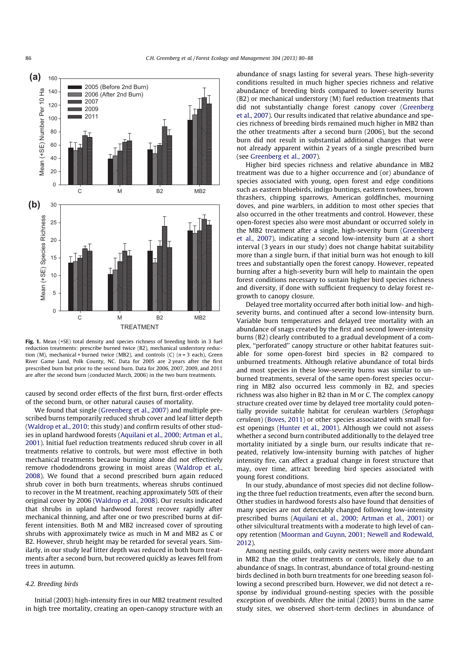

Fig. 1. Mean (+SE) total density and species richness of breeding birds in 3 fuel reduction treatments: prescribe burned twice (B2), mechanical understory reduction (M), mechanical + burned twice (MB2), and controls (C) ( $n = 3$  each), Green River Game Land, Polk County, NC. Data for 2005 are 2 years after the first prescribed burn but prior to the second burn. Data for 2006, 2007, 2009, and 2011 are after the second burn (conducted March, 2006) in the two burn treatments.

caused by second order effects of the first burn, first-order effects of the second burn, or other natural causes of mortality.

We found that single (Greenberg et al., 2007) and multiple prescribed burns temporarily reduced shrub cover and leaf litter depth (Waldrop et al., 2010; this study) and confirm results of other studies in upland hardwood forests (Aquilani et al., 2000; Artman et al., 2001). Initial fuel reduction treatments reduced shrub cover in all treatments relative to controls, but were most effective in both mechanical treatments because burning alone did not effectively remove rhododendrons growing in moist areas (Waldrop et al., 2008). We found that a second prescribed burn again reduced shrub cover in both burn treatments, whereas shrubs continued to recover in the M treatment, reaching approximately 50% of their original cover by 2006 (Waldrop et al., 2008). Our results indicated that shrubs in upland hardwood forest recover rapidly after mechanical thinning, and after one or two prescribed burns at different intensities. Both M and MB2 increased cover of sprouting shrubs with approximately twice as much in M and MB2 as C or B2. However, shrub height may be retarded for several years. Similarly, in our study leaf litter depth was reduced in both burn treatments after a second burn, but recovered quickly as leaves fell from trees in autumn.

# 4.2. Breeding birds

Initial (2003) high-intensity fires in our MB2 treatment resulted in high tree mortality, creating an open-canopy structure with an abundance of snags lasting for several years. These high-severity conditions resulted in much higher species richness and relative abundance of breeding birds compared to lower-severity burns (B2) or mechanical understory (M) fuel reduction treatments that did not substantially change forest canopy cover (Greenberg et al., 2007). Our results indicated that relative abundance and species richness of breeding birds remained much higher in MB2 than the other treatments after a second burn (2006), but the second burn did not result in substantial additional changes that were not already apparent within 2 years of a single prescribed burn (see Greenberg et al., 2007).

Higher bird species richness and relative abundance in MB2 treatment was due to a higher occurrence and (or) abundance of species associated with young, open forest and edge conditions such as eastern bluebirds, indigo buntings, eastern towhees, brown thrashers, chipping sparrows, American goldfinches, mourning doves, and pine warblers, in addition to most other species that also occurred in the other treatments and control. However, these open-forest species also were most abundant or occurred solely in the MB2 treatment after a single, high-severity burn (Greenberg et al., 2007), indicating a second low-intensity burn at a short interval (3 years in our study) does not change habitat suitability more than a single burn, if that initial burn was hot enough to kill trees and substantially open the forest canopy. However, repeated burning after a high-severity burn will help to maintain the open forest conditions necessary to sustain higher bird species richness and diversity, if done with sufficient frequency to delay forest regrowth to canopy closure.

Delayed tree mortality occurred after both initial low- and highseverity burns, and continued after a second low-intensity burn. Variable burn temperatures and delayed tree mortality with an abundance of snags created by the first and second lower-intensity burns (B2) clearly contributed to a gradual development of a complex, ''perforated'' canopy structure or other habitat features suitable for some open-forest bird species in B2 compared to unburned treatments. Although relative abundance of total birds and most species in these low-severity burns was similar to unburned treatments, several of the same open-forest species occurring in MB2 also occurred less commonly in B2, and species richness was also higher in B2 than in M or C. The complex canopy structure created over time by delayed tree mortality could potentially provide suitable habitat for cerulean warblers (Setophaga cerulean) (Boves, 2011) or other species associated with small forest openings (Hunter et al., 2001). Although we could not assess whether a second burn contributed additionally to the delayed tree mortality initiated by a single burn, our results indicate that repeated, relatively low-intensity burning with patches of higher intensity fire, can affect a gradual change in forest structure that may, over time, attract breeding bird species associated with young forest conditions.

In our study, abundance of most species did not decline following the three fuel reduction treatments, even after the second burn. Other studies in hardwood forests also have found that densities of many species are not detectably changed following low-intensity prescribed burns (Aquilani et al., 2000; Artman et al., 2001) or other silvicultural treatments with a moderate to high level of canopy retention (Moorman and Guynn, 2001; Newell and Rodewald, 2012).

Among nesting guilds, only cavity nesters were more abundant in MB2 than the other treatments or controls, likely due to an abundance of snags. In contrast, abundance of total ground-nesting birds declined in both burn treatments for one breeding season following a second prescribed burn. However, we did not detect a response by individual ground-nesting species with the possible exception of ovenbirds. After the initial (2003) burns in the same study sites, we observed short-term declines in abundance of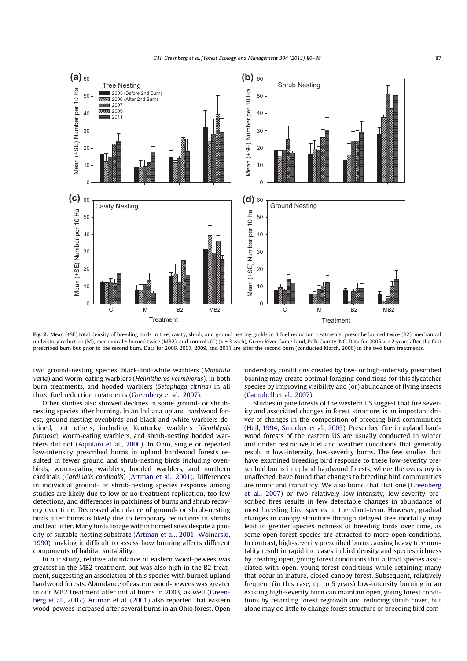

Fig. 2. Mean (+SE) total density of breeding birds in tree, cavity, shrub, and ground nesting guilds in 3 fuel reduction treatments: prescribe burned twice (B2), mechanical understory reduction (M), mechanical + burned twice (MB2), and controls (C) ( $n = 3$  each), Green River Game Land, Polk County, NC. Data for 2005 are 2 years after the first prescribed burn but prior to the second burn. Data for 2006, 2007, 2009, and 2011 are after the second burn (conducted March, 2006) in the two burn treatments.

two ground-nesting species, black-and-white warblers (Mniotilta varia) and worm-eating warblers (Helmitheros vermivorus), in both burn treatments, and hooded warblers (Setophaga citrina) in all three fuel reduction treatments (Greenberg et al., 2007).

Other studies also showed declines in some ground- or shrubnesting species after burning. In an Indiana upland hardwood forest, ground-nesting ovenbirds and black-and-white warblers declined, but others, including Kentucky warblers (Geothlypis formosa), worm-eating warblers, and shrub-nesting hooded warblers did not (Aquilani et al., 2000). In Ohio, single or repeated low-intensity prescribed burns in upland hardwood forests resulted in fewer ground and shrub-nesting birds including ovenbirds, worm-eating warblers, hooded warblers, and northern cardinals (Cardinalis cardinalis) (Artman et al., 2001). Differences in individual ground- or shrub-nesting species response among studies are likely due to low or no treatment replication, too few detections, and differences in patchiness of burns and shrub recovery over time. Decreased abundance of ground- or shrub-nesting birds after burns is likely due to temporary reductions in shrubs and leaf litter. Many birds forage within burned sites despite a paucity of suitable nesting substrate (Artman et al., 2001; Woinarski, 1990), making it difficult to assess how burning affects different components of habitat suitability.

In our study, relative abundance of eastern wood-pewees was greatest in the MB2 treatment, but was also high in the B2 treatment, suggesting an association of this species with burned upland hardwood forests. Abundance of eastern wood-pewees was greater in our MB2 treatment after initial burns in 2003, as well (Greenberg et al., 2007). Artman et al. (2001) also reported that eastern wood-pewees increased after several burns in an Ohio forest. Open understory conditions created by low- or high-intensity prescribed burning may create optimal foraging conditions for this flycatcher species by improving visibility and (or) abundance of flying insects (Campbell et al., 2007).

Studies in pine forests of the western US suggest that fire severity and associated changes in forest structure, is an important driver of changes in the composition of breeding bird communities (Hejl, 1994; Smucker et al., 2005). Prescribed fire in upland hardwood forests of the eastern US are usually conducted in winter and under restrictive fuel and weather conditions that generally result in low-intensity, low-severity burns. The few studies that have examined breeding bird response to these low-severity prescribed burns in upland hardwood forests, where the overstory is unaffected, have found that changes to breeding bird communities are minor and transitory. We also found that that one (Greenberg et al., 2007) or two relatively low-intensity, low-severity prescribed fires results in few detectable changes in abundance of most breeding bird species in the short-term. However, gradual changes in canopy structure through delayed tree mortality may lead to greater species richness of breeding birds over time, as some open-forest species are attracted to more open conditions. In contrast, high-severity prescribed burns causing heavy tree mortality result in rapid increases in bird density and species richness by creating open, young forest conditions that attract species associated with open, young forest conditions while retaining many that occur in mature, closed canopy forest. Subsequent, relatively frequent (in this case, up to 5 years) low-intensity burning in an existing high-severity burn can maintain open, young forest conditions by retarding forest regrowth and reducing shrub cover, but alone may do little to change forest structure or breeding bird com